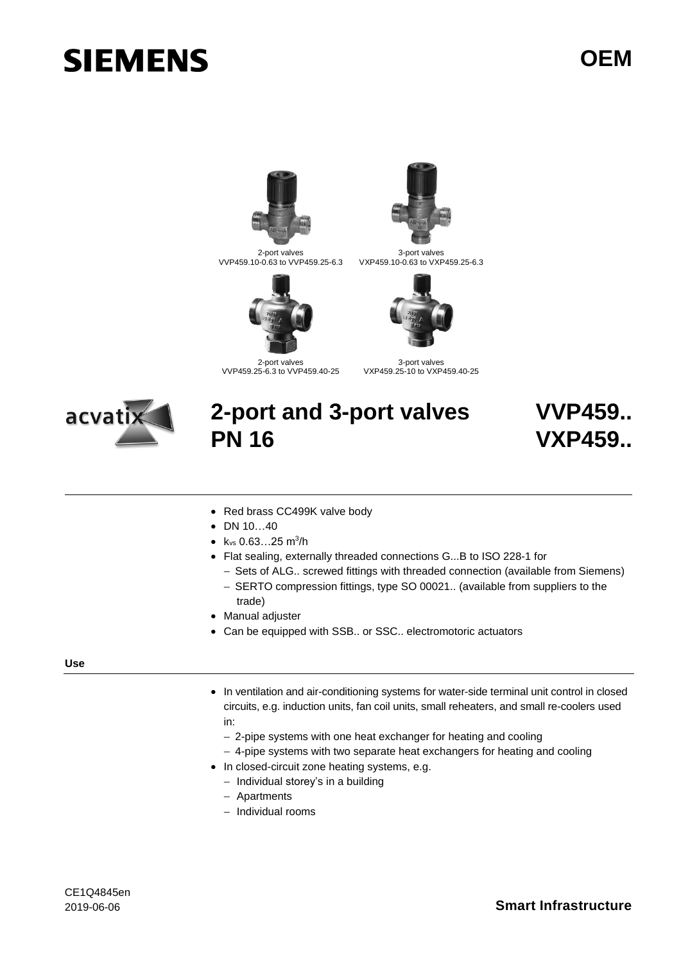# **SIEMENS**



2-port valves VVP459.10-0.63 to VVP459.25-6.3



2-port valves VVP459.25-6.3 to VVP459.40-25



3-port valves VXP459.10-0.63 to VXP459.25-6.3



3-port valves VXP459.25-10 to VXP459.40-25



# **2-port and 3-port valves PN 16**

# **VVP459.. VXP459..**

- Red brass CC499K valve body
- DN 10...40
- $k_{vs}$  0.63...25 m<sup>3</sup>/h
- Flat sealing, externally threaded connections G...B to ISO 228-1 for
	- − Sets of ALG.. screwed fittings with threaded connection (available from Siemens)
	- − SERTO compression fittings, type SO 00021.. (available from suppliers to the trade)
- Manual adjuster
- Can be equipped with SSB.. or SSC.. electromotoric actuators

#### **Use**

- In ventilation and air-conditioning systems for water-side terminal unit control in closed circuits, e.g. induction units, fan coil units, small reheaters, and small re-coolers used in:
	- − 2-pipe systems with one heat exchanger for heating and cooling
	- − 4-pipe systems with two separate heat exchangers for heating and cooling
- In closed-circuit zone heating systems, e.g.
	- − Individual storey's in a building
	- − Apartments
	- − Individual rooms

# 2019-06-06 **Smart Infrastructure**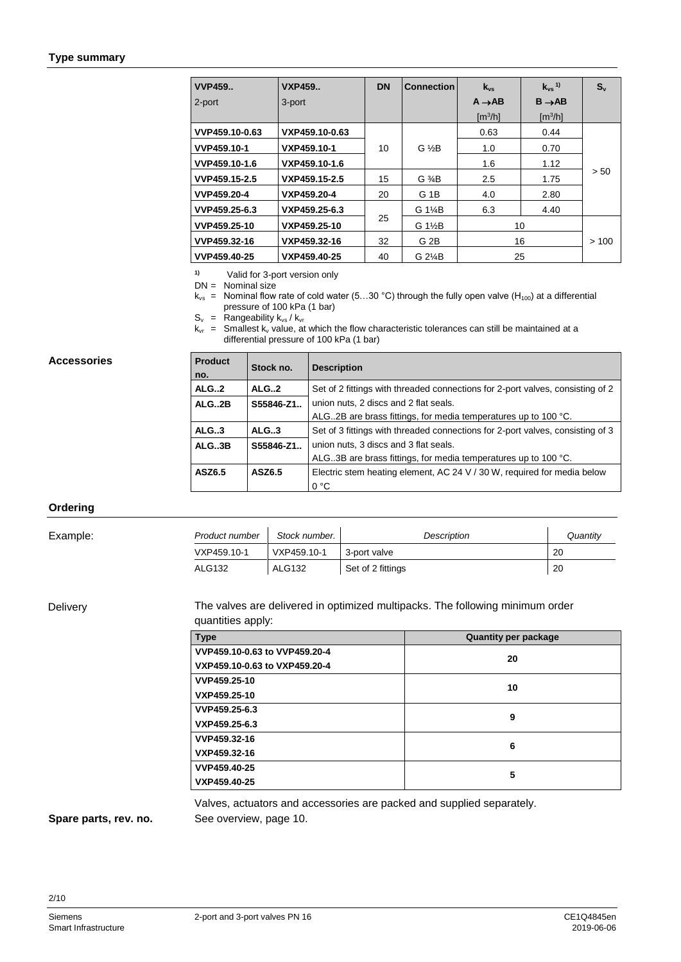#### **Type summary**

| <b>VVP459</b>  | <b>VXP459</b>  | <b>DN</b> | <b>Connection</b>   | $k_{vs}$                | $k_{vs}$ <sup>1)</sup> | $S_{v}$ |
|----------------|----------------|-----------|---------------------|-------------------------|------------------------|---------|
| 2-port         | 3-port         |           |                     | $A \rightarrow AB$      | $B \rightarrow AB$     |         |
|                |                |           |                     | $\text{Im}^3/\text{hl}$ | $\text{[m}^3/\text{h}$ |         |
| VVP459.10-0.63 | VXP459.10-0.63 |           |                     | 0.63                    | 0.44                   |         |
| VVP459.10-1    | VXP459.10-1    | 10        | $G \frac{1}{2}B$    | 1.0                     | 0.70                   |         |
| VVP459.10-1.6  | VXP459.10-1.6  |           |                     | 1.6                     | 1.12                   |         |
| VVP459.15-2.5  | VXP459.15-2.5  | 15        | $G \frac{3}{4}B$    | 2.5                     | 1.75                   | > 50    |
| VVP459.20-4    | VXP459.20-4    | 20        | G <sub>1</sub> B    | 4.0                     | 2.80                   |         |
| VVP459.25-6.3  | VXP459.25-6.3  |           | G 1 <sup>/4</sup> B | 6.3                     | 4.40                   |         |
| VVP459.25-10   | VXP459.25-10   | 25        | G 1½B               | 10                      |                        |         |
| VVP459.32-16   | VXP459.32-16   | 32        | G <sub>2</sub> B    |                         | 16                     | >100    |
| VVP459.40-25   | VXP459.40-25   | 40        | G 2¼B               | 25                      |                        |         |

**1)** Valid for 3-port version only

 $DN =$  Nominal size

 $k_{vs}$  = Nominal flow rate of cold water (5...30 °C) through the fully open valve (H<sub>100</sub>) at a differential pressure of 100 kPa (1 bar)

 $S_v$  = Rangeability  $k_{vs} / k_{vr}$ 

 $k_{vr}$  = Smallest  $k_v$  value, at which the flow characteristic tolerances can still be maintained at a differential pressure of 100 kPa (1 bar)

#### **Accessories**

| <b>Product</b><br>no. | Stock no.  | <b>Description</b>                                                             |
|-----------------------|------------|--------------------------------------------------------------------------------|
| ALG2                  | ALG.2      | Set of 2 fittings with threaded connections for 2-port valves, consisting of 2 |
| ALG2B                 | S55846-Z1. | union nuts, 2 discs and 2 flat seals.                                          |
|                       |            | ALG2B are brass fittings, for media temperatures up to 100 °C.                 |
| ALG.3                 | ALG.3      | Set of 3 fittings with threaded connections for 2-port valves, consisting of 3 |
| ALG.3B                | S55846-Z1. | union nuts, 3 discs and 3 flat seals.                                          |
|                       |            | ALG3B are brass fittings, for media temperatures up to 100 °C.                 |
| ASZ6.5                | ASZ6.5     | Electric stem heating element, AC 24 V / 30 W, required for media below        |
|                       |            | 0 °C                                                                           |

#### **Ordering**

| Example: | Product number | Stock number. | Description       | Quantity |
|----------|----------------|---------------|-------------------|----------|
|          | VXP459.10-1    | VXP459.10-1   | 3-port valve      | 20       |
|          | ALG132         | <b>ALG132</b> | Set of 2 fittings | 20       |

### Delivery

The valves are delivered in optimized multipacks. The following minimum order quantities apply:

| <b>Type</b>                   | <b>Quantity per package</b> |  |  |  |
|-------------------------------|-----------------------------|--|--|--|
| VVP459.10-0.63 to VVP459.20-4 | 20                          |  |  |  |
| VXP459.10-0.63 to VXP459.20-4 |                             |  |  |  |
| VVP459.25-10                  | 10                          |  |  |  |
| VXP459.25-10                  |                             |  |  |  |
| VVP459.25-6.3                 | 9                           |  |  |  |
| VXP459.25-6.3                 |                             |  |  |  |
| VVP459.32-16                  | 6                           |  |  |  |
| VXP459.32-16                  |                             |  |  |  |
| VVP459.40-25                  |                             |  |  |  |
| VXP459.40-25                  | 5                           |  |  |  |

Valves, actuators and accessories are packed and supplied separately. See overview, page 10.

# **Spare parts, rev. no.**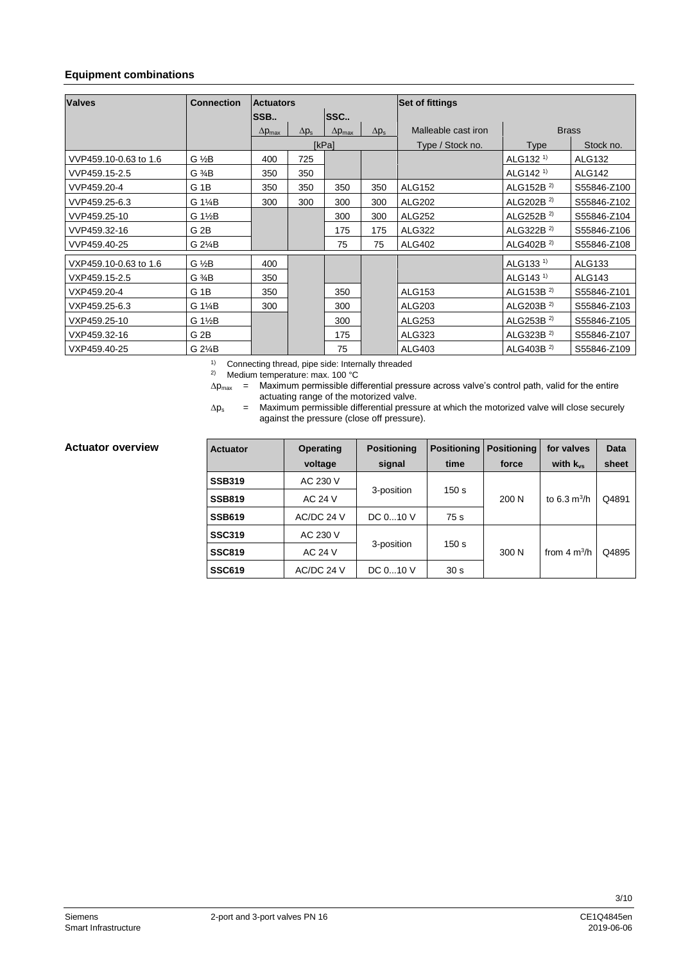# **Equipment combinations**

| <b>Valves</b>         | <b>Connection</b> | <b>Actuators</b>        |              | <b>Set of fittings</b>  |              |                     |                       |               |  |
|-----------------------|-------------------|-------------------------|--------------|-------------------------|--------------|---------------------|-----------------------|---------------|--|
|                       |                   | SSB                     |              | <b>SSC</b>              |              |                     |                       |               |  |
|                       |                   | $\Delta p_{\text{max}}$ | $\Delta p_s$ | $\Delta p_{\text{max}}$ | $\Delta p_s$ | Malleable cast iron |                       | <b>Brass</b>  |  |
|                       |                   |                         |              | [kPa]                   |              | Type / Stock no.    | <b>Type</b>           | Stock no.     |  |
| VVP459.10-0.63 to 1.6 | $G \frac{1}{2}B$  | 400                     | 725          |                         |              |                     | ALG132 <sup>1)</sup>  | <b>ALG132</b> |  |
| VVP459.15-2.5         | $G \frac{3}{4}B$  | 350                     | 350          |                         |              |                     | ALG142 <sup>1)</sup>  | <b>ALG142</b> |  |
| VVP459.20-4           | G <sub>1B</sub>   | 350                     | 350          | 350                     | 350          | <b>ALG152</b>       | ALG152B $^{2}$        | S55846-Z100   |  |
| VVP459.25-6.3         | G 1¼B             | 300                     | 300          | 300                     | 300          | <b>ALG202</b>       | ALG202B <sup>2)</sup> | S55846-Z102   |  |
| VVP459.25-10          | G 1½B             |                         |              | 300                     | 300          | <b>ALG252</b>       | ALG252B $^{2}$        | S55846-Z104   |  |
| VVP459.32-16          | G <sub>2B</sub>   |                         |              | 175                     | 175          | <b>ALG322</b>       | ALG322B $^{2}$        | S55846-Z106   |  |
| VVP459.40-25          | G 2¼B             |                         |              | 75                      | 75           | <b>ALG402</b>       | ALG402B $^{2}$        | S55846-Z108   |  |
| VXP459.10-0.63 to 1.6 | $G \frac{1}{2}B$  | 400                     |              |                         |              |                     | ALG133 <sup>1)</sup>  | ALG133        |  |
| VXP459.15-2.5         | G 3⁄4B            | 350                     |              |                         |              |                     | ALG143 <sup>1)</sup>  | <b>ALG143</b> |  |
| VXP459.20-4           | G 1B              | 350                     |              | 350                     |              | <b>ALG153</b>       | ALG153B $^{2}$        | S55846-Z101   |  |
| VXP459.25-6.3         | G 1¼B             | 300                     |              | 300                     |              | ALG203              | ALG203B $^{2)}$       | S55846-Z103   |  |
| VXP459.25-10          | G 1½B             |                         |              | 300                     |              | <b>ALG253</b>       | ALG253B $^{2}$        | S55846-Z105   |  |
| VXP459.32-16          | G 2B              |                         |              | 175                     |              | ALG323              | ALG323B $^{2}$        | S55846-Z107   |  |
| VXP459.40-25          | G 2¼B             |                         |              | 75                      |              | ALG403              | ALG403B $^{2)}$       | S55846-Z109   |  |

1) Connecting thread, pipe side: Internally threaded

2) Medium temperature: max. 100 °C

 $\Delta p_{\text{max}}$  = Maximum permissible differential pressure across valve's control path, valid for the entire actuating range of the motorized valve.

 $\Delta p_s$  = Maximum permissible differential pressure at which the motorized valve will close securely against the pressure (close off pressure).

#### **Actuator overview**

| <b>Actuator</b> | <b>Operating</b> | <b>Positioning</b> | <b>Positioning</b>             | <b>Positioning</b> |                         | Data  |
|-----------------|------------------|--------------------|--------------------------------|--------------------|-------------------------|-------|
|                 | voltage          | signal             | time                           | force              | with $k_{vs}$           | sheet |
| <b>SSB319</b>   | AC 230 V         |                    |                                |                    |                         |       |
| <b>SSB819</b>   | AC 24 V          |                    | 3-position<br>150 <sub>s</sub> |                    | to 6.3 $m^3/h$          | Q4891 |
| <b>SSB619</b>   | AC/DC 24 V       | DC $010$ V         | 75 s                           |                    |                         |       |
| <b>SSC319</b>   | AC 230 V         |                    |                                |                    | from $4 \text{ m}^3$ /h | Q4895 |
| <b>SSC819</b>   | AC 24 V          | 3-position         | 150 <sub>s</sub>               | 300 N              |                         |       |
| <b>SSC619</b>   | AC/DC 24 V       | DC $010$ V         | 30 <sub>s</sub>                |                    |                         |       |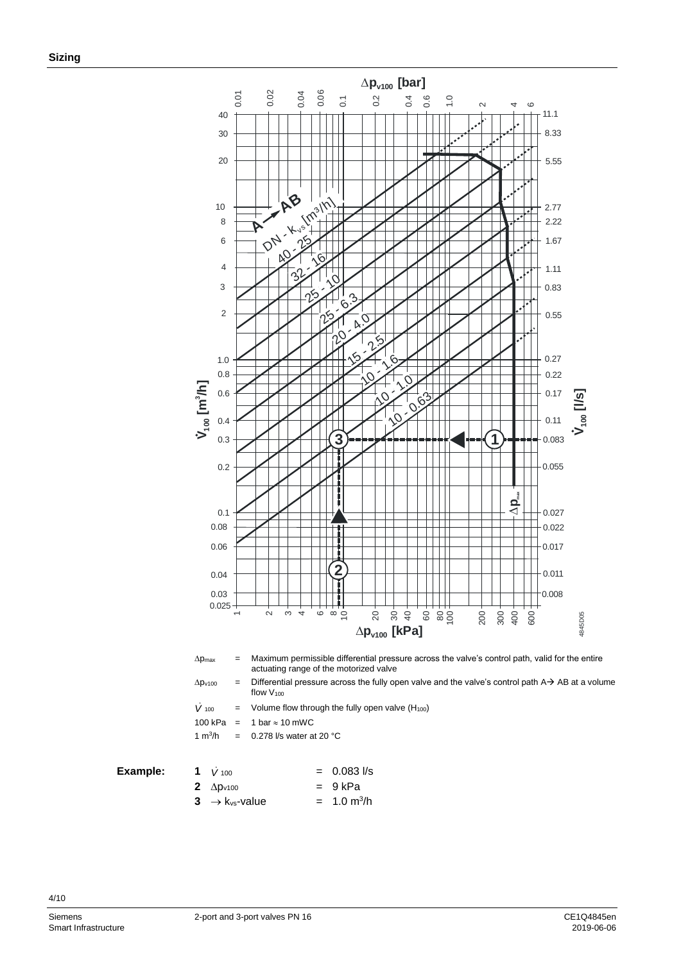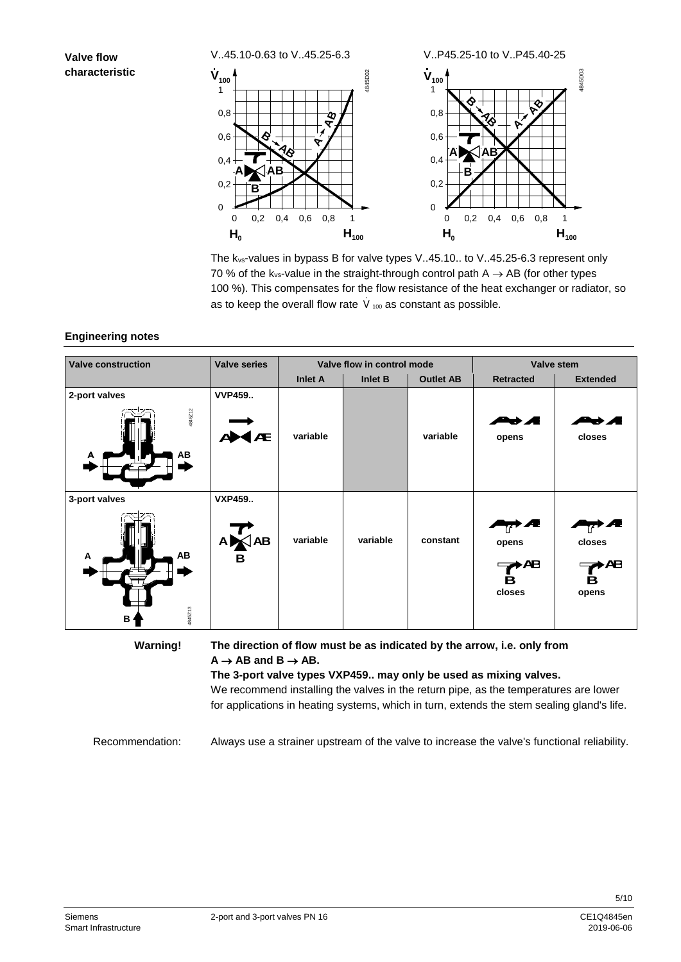# **Valve flow characteristic**



The kvs-values in bypass B for valve types V..45.10.. to V..45.25-6.3 represent only 70 % of the k<sub>vs</sub>-value in the straight-through control path  $A \rightarrow AB$  (for other types 100 %). This compensates for the flow resistance of the heat exchanger or radiator, so as to keep the overall flow rate  $\dot{\vee}_{100}$  as constant as possible.

## **Engineering notes**

| <b>Valve construction</b>                           | <b>Valve series</b>               |                | Valve flow in control mode | Valve stem       |                                                                         |                            |
|-----------------------------------------------------|-----------------------------------|----------------|----------------------------|------------------|-------------------------------------------------------------------------|----------------------------|
|                                                     |                                   | <b>Inlet A</b> | Inlet B                    | <b>Outlet AB</b> | <b>Retracted</b>                                                        | <b>Extended</b>            |
| 2-port valves<br>4845Z12<br>AB                      | <b>VVP459</b><br>Æ                | variable       |                            | variable         | ▅▅⊿<br>opens                                                            | vА<br>closes               |
| 3-port valves<br>AB<br>A<br>4845Z13<br>$B^{\prime}$ | <b>VXP459</b><br>$\frac{A}{B}$ AB | variable       | variable                   | constant         | Æ<br>opens<br><b>AB</b><br>в<br>closes                                  | closes<br>≻Æ<br>в<br>opens |
| <b>Warning!</b>                                     |                                   |                |                            |                  | The direction of flow must be as indicated by the arrow, i.e. only from |                            |

**The direction of flow must be as indicated by the arrow, i.e. only from**   $A \rightarrow AB$  and  $B \rightarrow AB$ .

**The 3-port valve types VXP459.. may only be used as mixing valves.** We recommend installing the valves in the return pipe, as the temperatures are lower for applications in heating systems, which in turn, extends the stem sealing gland's life.

Always use a strainer upstream of the valve to increase the valve's functional reliability. Recommendation: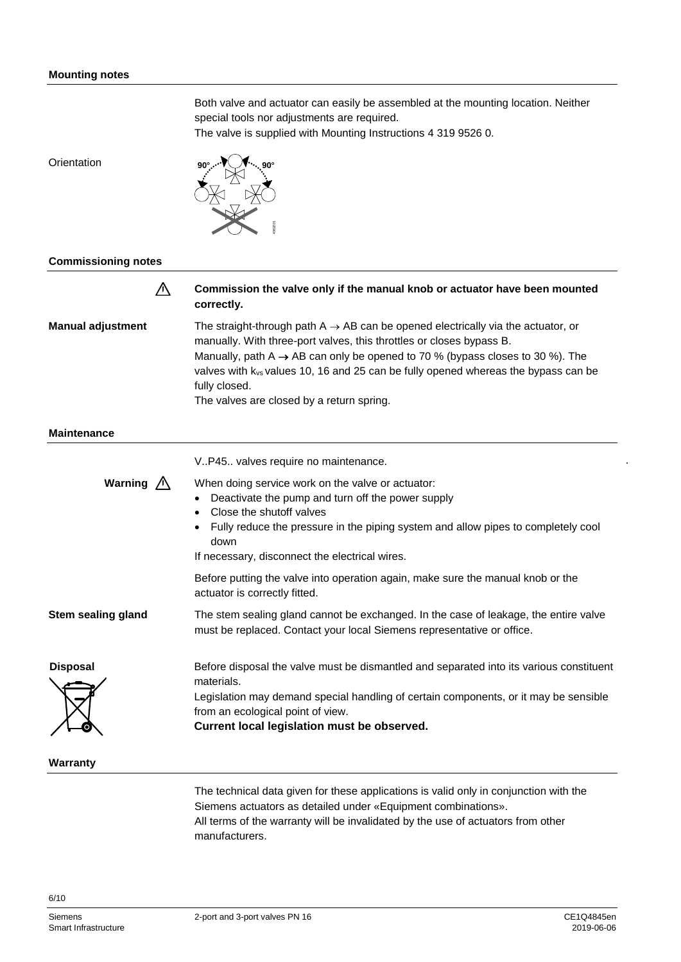Both valve and actuator can easily be assembled at the mounting location. Neither special tools nor adjustments are required.

The valve is supplied with Mounting Instructions 4 319 9526 0.

**Orientation** 



#### **Commissioning notes**

 $\triangle$ **Commission the valve only if the manual knob or actuator have been mounted correctly. Manual adjustment** The straight-through path  $A \rightarrow AB$  can be opened electrically via the actuator, or manually. With three-port valves, this throttles or closes bypass B.

Manually, path A  $\rightarrow$  AB can only be opened to 70 % (bypass closes to 30 %). The valves with kvs values 10, 16 and 25 can be fully opened whereas the bypass can be fully closed.

The valves are closed by a return spring.

#### **Maintenance**

|                     | V.P45. valves require no maintenance.                                                                                                                                                                                                                                                          |
|---------------------|------------------------------------------------------------------------------------------------------------------------------------------------------------------------------------------------------------------------------------------------------------------------------------------------|
| Warning $\bigwedge$ | When doing service work on the valve or actuator:<br>Deactivate the pump and turn off the power supply<br>Close the shutoff valves<br>Fully reduce the pressure in the piping system and allow pipes to completely cool<br>$\bullet$<br>down<br>If necessary, disconnect the electrical wires. |
|                     | Before putting the valve into operation again, make sure the manual knob or the<br>actuator is correctly fitted.                                                                                                                                                                               |
| Stem sealing gland  | The stem sealing gland cannot be exchanged. In the case of leakage, the entire valve<br>must be replaced. Contact your local Siemens representative or office.                                                                                                                                 |
| <b>Disposal</b>     | Before disposal the valve must be dismantled and separated into its various constituent<br>materials.<br>Legislation may demand special handling of certain components, or it may be sensible<br>from an ecological point of view.<br>Current local legislation must be observed.              |

**Warranty**

The technical data given for these applications is valid only in conjunction with the Siemens actuators as detailed under «Equipment combinations». All terms of the warranty will be invalidated by the use of actuators from other manufacturers.

.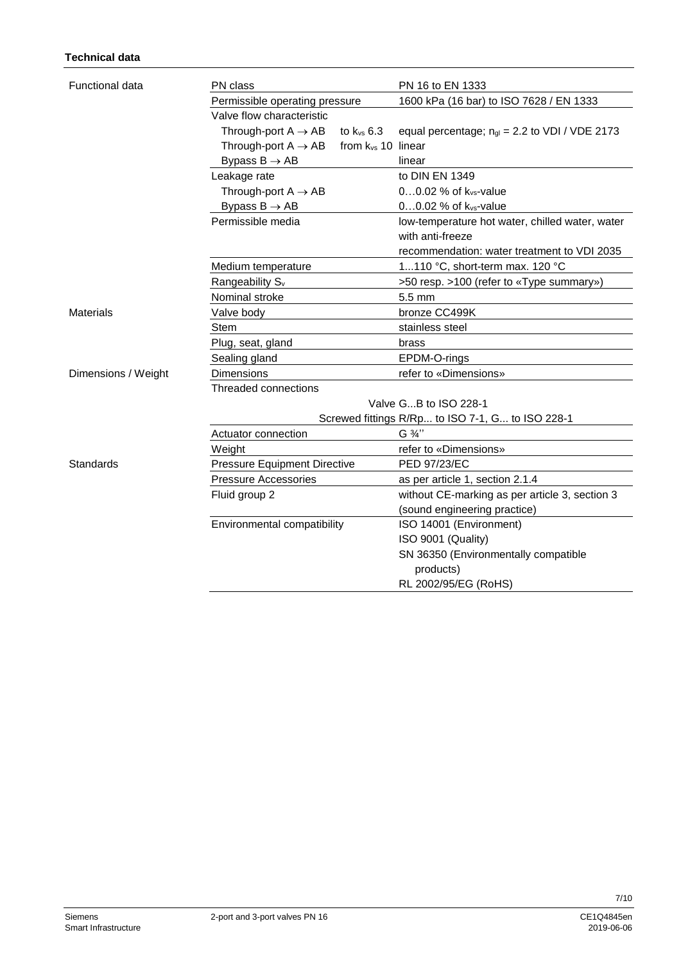| <b>Functional data</b> | PN class                            |                         | PN 16 to EN 1333                                   |  |  |  |  |  |  |
|------------------------|-------------------------------------|-------------------------|----------------------------------------------------|--|--|--|--|--|--|
|                        | Permissible operating pressure      |                         | 1600 kPa (16 bar) to ISO 7628 / EN 1333            |  |  |  |  |  |  |
|                        | Valve flow characteristic           |                         |                                                    |  |  |  |  |  |  |
|                        | Through-port $A \rightarrow AB$     | to $k_{vs}$ 6.3         | equal percentage; $n_{gl} = 2.2$ to VDI / VDE 2173 |  |  |  |  |  |  |
|                        | Through-port $A \rightarrow AB$     | from $k_{vs}$ 10 linear |                                                    |  |  |  |  |  |  |
|                        | Bypass $B \rightarrow AB$           |                         | linear                                             |  |  |  |  |  |  |
|                        | Leakage rate                        |                         | to DIN EN 1349                                     |  |  |  |  |  |  |
|                        | Through-port $A \rightarrow AB$     |                         | 00.02 % of k <sub>vs</sub> -value                  |  |  |  |  |  |  |
|                        | Bypass $B \rightarrow AB$           |                         | 00.02 % of k <sub>vs</sub> -value                  |  |  |  |  |  |  |
|                        | Permissible media                   |                         | low-temperature hot water, chilled water, water    |  |  |  |  |  |  |
|                        |                                     |                         | with anti-freeze                                   |  |  |  |  |  |  |
|                        |                                     |                         | recommendation: water treatment to VDI 2035        |  |  |  |  |  |  |
|                        | Medium temperature                  |                         | 1110 °C, short-term max. 120 °C                    |  |  |  |  |  |  |
|                        | Rangeability S <sub>v</sub>         |                         | >50 resp. >100 (refer to «Type summary»)           |  |  |  |  |  |  |
|                        | Nominal stroke                      |                         | 5.5 mm                                             |  |  |  |  |  |  |
| <b>Materials</b>       | Valve body                          |                         | bronze CC499K                                      |  |  |  |  |  |  |
|                        | Stem                                |                         | stainless steel                                    |  |  |  |  |  |  |
|                        | Plug, seat, gland                   |                         | brass                                              |  |  |  |  |  |  |
|                        | Sealing gland                       |                         | EPDM-O-rings                                       |  |  |  |  |  |  |
| Dimensions / Weight    | Dimensions                          |                         | refer to «Dimensions»                              |  |  |  |  |  |  |
|                        | Threaded connections                |                         |                                                    |  |  |  |  |  |  |
|                        |                                     |                         | Valve GB to ISO 228-1                              |  |  |  |  |  |  |
|                        |                                     |                         | Screwed fittings R/Rp to ISO 7-1, G to ISO 228-1   |  |  |  |  |  |  |
|                        | Actuator connection                 |                         | G 3/4"                                             |  |  |  |  |  |  |
|                        | Weight                              |                         | refer to «Dimensions»                              |  |  |  |  |  |  |
| Standards              | <b>Pressure Equipment Directive</b> |                         | PED 97/23/EC                                       |  |  |  |  |  |  |
|                        | <b>Pressure Accessories</b>         |                         | as per article 1, section 2.1.4                    |  |  |  |  |  |  |
|                        | Fluid group 2                       |                         | without CE-marking as per article 3, section 3     |  |  |  |  |  |  |
|                        |                                     |                         | (sound engineering practice)                       |  |  |  |  |  |  |
|                        | Environmental compatibility         |                         | ISO 14001 (Environment)                            |  |  |  |  |  |  |
|                        |                                     |                         | ISO 9001 (Quality)                                 |  |  |  |  |  |  |
|                        |                                     |                         | SN 36350 (Environmentally compatible               |  |  |  |  |  |  |
|                        |                                     |                         | products)                                          |  |  |  |  |  |  |
|                        |                                     |                         | RL 2002/95/EG (RoHS)                               |  |  |  |  |  |  |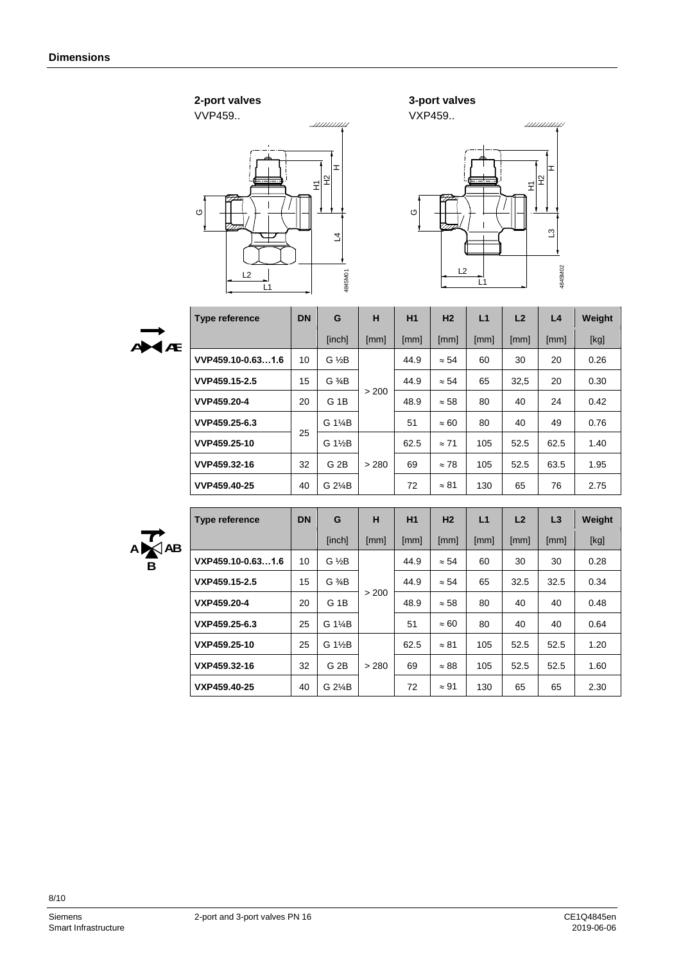# **2-port valves**



**3-port valves** 



G



| <b>Type reference</b> | <b>DN</b> | G                   | н     | H1   | H <sub>2</sub> | L1   | L2   | L4   | Weight |
|-----------------------|-----------|---------------------|-------|------|----------------|------|------|------|--------|
|                       |           | [inch]              | [mm]  | [mm] | [mm]           | [mm] | [mm] | [mm] | [kg]   |
| VVP459.10-0.631.6     | 10        | $G \frac{1}{2}B$    |       | 44.9 | $\approx 54$   | 60   | 30   | 20   | 0.26   |
| VVP459.15-2.5         | 15        | $G \frac{3}{4}B$    | > 200 | 44.9 | $\approx 54$   | 65   | 32,5 | 20   | 0.30   |
| VVP459.20-4           | 20        | G <sub>1</sub> B    |       | 48.9 | $\approx 58$   | 80   | 40   | 24   | 0.42   |
| VVP459.25-6.3         |           | G 1 <sup>/4</sup> B |       | 51   | $\approx 60$   | 80   | 40   | 49   | 0.76   |
| VVP459.25-10          |           | G $1\frac{1}{2}B$   |       | 62.5 | $\approx 71$   | 105  | 52.5 | 62.5 | 1.40   |
| VVP459.32-16          | 32        | G <sub>2B</sub>     | > 280 | 69   | $\approx 78$   | 105  | 52.5 | 63.5 | 1.95   |
| VVP459.40-25          | 40        | G 2¼B               |       | 72   | $\approx 81$   | 130  | 65   | 76   | 2.75   |
|                       |           | 25                  |       |      |                |      |      |      |        |



| Type reference    | <b>DN</b> | G                | н     | H1   | H <sub>2</sub> | L1   | L2   | L3   | Weight |
|-------------------|-----------|------------------|-------|------|----------------|------|------|------|--------|
|                   |           | [inch]           | [mm]  | [mm] | [mm]           | [mm] | [mm] | [mm] | [kg]   |
| VXP459.10-0.631.6 | 10        | $G \frac{1}{2}B$ |       | 44.9 | $\approx 54$   | 60   | 30   | 30   | 0.28   |
| VXP459.15-2.5     | 15        | $G \frac{3}{4}B$ |       | 44.9 | $\approx 54$   | 65   | 32.5 | 32.5 | 0.34   |
| VXP459.20-4       | 20        | G <sub>1B</sub>  | > 200 | 48.9 | $\approx$ 58   | 80   | 40   | 40   | 0.48   |
| VXP459.25-6.3     | 25        | G 1¼B            |       | 51   | $\approx 60$   | 80   | 40   | 40   | 0.64   |
| VXP459.25-10      | 25        | G 1½B            |       | 62.5 | $\approx 81$   | 105  | 52.5 | 52.5 | 1.20   |
| VXP459.32-16      | 32        | G <sub>2B</sub>  | > 280 | 69   | $\approx 88$   | 105  | 52.5 | 52.5 | 1.60   |
| VXP459.40-25      | 40        | G 2¼B            |       | 72   | $\approx 91$   | 130  | 65   | 65   | 2.30   |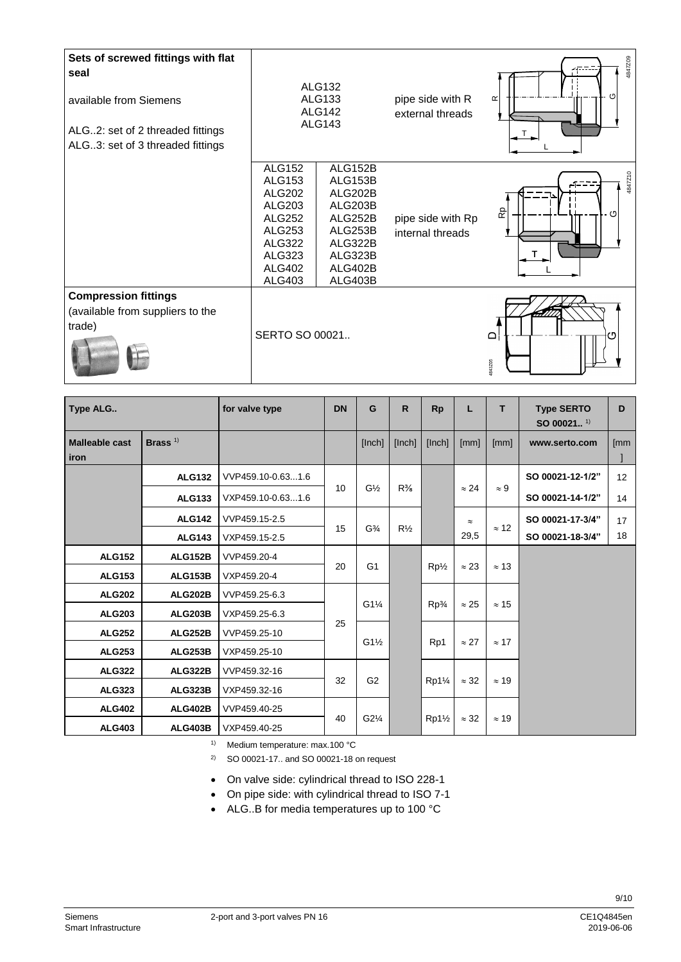| Sets of screwed fittings with flat<br>seal<br>available from Siemens<br>ALG2: set of 2 threaded fittings<br>ALG3: set of 3 threaded fittings |                                                                                                                                                                 | <b>ALG132</b><br><b>ALG133</b><br><b>ALG142</b><br><b>ALG143</b>                                           | pipe side with R<br>external threads  | 4847Z09<br>O<br>$\propto$ |
|----------------------------------------------------------------------------------------------------------------------------------------------|-----------------------------------------------------------------------------------------------------------------------------------------------------------------|------------------------------------------------------------------------------------------------------------|---------------------------------------|---------------------------|
|                                                                                                                                              | <b>ALG152</b><br><b>ALG153</b><br><b>ALG202</b><br><b>ALG203</b><br><b>ALG252</b><br><b>ALG253</b><br><b>ALG322</b><br>ALG323<br><b>ALG402</b><br><b>ALG403</b> | ALG152B<br>ALG153B<br>ALG202B<br>ALG203B<br>ALG252B<br>ALG253B<br>ALG322B<br>ALG323B<br>ALG402B<br>ALG403B | pipe side with Rp<br>internal threads | 4847Z10<br>مم<br>- 0      |
| <b>Compression fittings</b><br>(available from suppliers to the<br>trade)                                                                    | SERTO SO 00021                                                                                                                                                  |                                                                                                            |                                       | $\Omega$<br>rη<br>4843Z05 |

| Type ALG                      |                | for valve type    | <b>DN</b> | G                                 | $\mathsf{R}$   | <b>Rp</b>                    |                              | T.           | <b>Type SERTO</b><br>SO 00021 <sup>1)</sup> | D   |
|-------------------------------|----------------|-------------------|-----------|-----------------------------------|----------------|------------------------------|------------------------------|--------------|---------------------------------------------|-----|
| <b>Malleable cast</b><br>iron | Brass $1$      |                   |           | [Inch]                            | [Inch]         | [Inch]                       | [mm]                         | [mm]         | www.serto.com                               | [mm |
|                               | <b>ALG132</b>  | VVP459.10-0.631.6 |           |                                   |                |                              |                              |              | SO 00021-12-1/2"                            | 12  |
|                               | <b>ALG133</b>  | VXP459.10-0.631.6 | 10        | $G\frac{1}{2}$                    | $R\frac{3}{8}$ |                              | $\approx 24$                 | $\approx 9$  | SO 00021-14-1/2"                            | 14  |
|                               | <b>ALG142</b>  | VVP459.15-2.5     |           |                                   |                |                              | $\approx$                    |              | SO 00021-17-3/4"                            | 17  |
|                               | <b>ALG143</b>  | VXP459.15-2.5     | 15        | G <sup>3</sup> / <sub>4</sub>     | $R\frac{1}{2}$ |                              | 29,5                         | $\approx$ 12 | SO 00021-18-3/4"                            | 18  |
| <b>ALG152</b>                 | <b>ALG152B</b> | VVP459.20-4       |           |                                   |                |                              |                              |              |                                             |     |
| <b>ALG153</b>                 | <b>ALG153B</b> | VXP459.20-4       | 20        | G <sub>1</sub><br>$Rp\frac{1}{2}$ |                | $\approx 23$<br>$\approx$ 13 |                              |              |                                             |     |
| <b>ALG202</b>                 | <b>ALG202B</b> | VVP459.25-6.3     |           |                                   |                |                              |                              | $\approx$ 15 |                                             |     |
| <b>ALG203</b>                 | <b>ALG203B</b> | VXP459.25-6.3     |           | $G1\frac{1}{4}$                   |                | $Rp\frac{3}{4}$              | $\approx 25$                 |              |                                             |     |
| <b>ALG252</b>                 | <b>ALG252B</b> | VVP459.25-10      | 25        |                                   |                |                              | $\approx$ 27<br>$\approx$ 17 |              |                                             |     |
| <b>ALG253</b>                 | <b>ALG253B</b> | VXP459.25-10      |           | $G1\frac{1}{2}$                   |                | Rp1                          |                              |              |                                             |     |
| <b>ALG322</b>                 | <b>ALG322B</b> | VVP459.32-16      | 32        | G <sub>2</sub>                    |                | $Rp1\frac{1}{4}$             | $\approx 32$                 | $\approx$ 19 |                                             |     |
| <b>ALG323</b>                 | <b>ALG323B</b> | VXP459.32-16      |           |                                   |                |                              |                              |              |                                             |     |
| <b>ALG402</b>                 | <b>ALG402B</b> | VVP459.40-25      |           |                                   |                |                              |                              |              |                                             |     |
| <b>ALG403</b>                 | <b>ALG403B</b> | VXP459.40-25      | 40        | $G2\frac{1}{4}$                   |                | $Rp1\frac{1}{2}$             | $\approx 32$                 | $\approx$ 19 |                                             |     |

1) Medium temperature: max.100 °C

2) SO 00021-17.. and SO 00021-18 on request

- On valve side: cylindrical thread to ISO 228-1
- On pipe side: with cylindrical thread to ISO 7-1
- ALG..B for media temperatures up to 100 °C